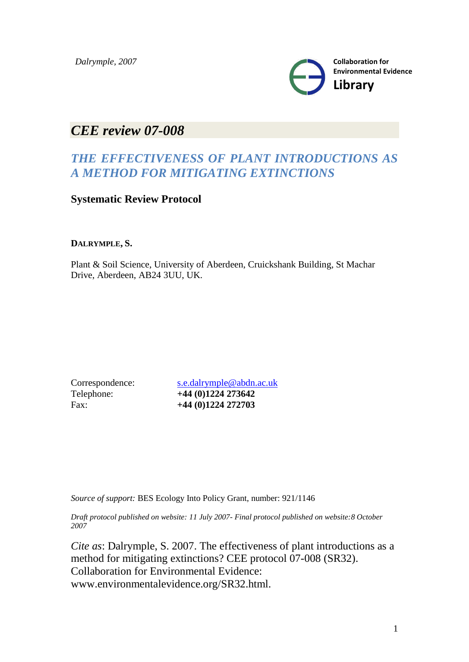

# *CEE review 07-008*

## *THE EFFECTIVENESS OF PLANT INTRODUCTIONS AS A METHOD FOR MITIGATING EXTINCTIONS*

**Systematic Review Protocol**

### **DALRYMPLE, S.**

Plant & Soil Science, University of Aberdeen, Cruickshank Building, St Machar Drive, Aberdeen, AB24 3UU, UK.

Correspondence: [s.e.dalrymple@abdn.ac.uk](mailto:s.e.dalrymple@abdn.ac.uk) Telephone: **+44 (0)1224 273642** Fax: **+44 (0)1224 272703**

*Source of support:* BES Ecology Into Policy Grant, number: 921/1146

*Draft protocol published on website: 11 July 2007- Final protocol published on website:8 October 2007*

*Cite as*: Dalrymple, S. 2007. The effectiveness of plant introductions as a method for mitigating extinctions? CEE protocol 07-008 (SR32). Collaboration for Environmental Evidence: www.environmentalevidence.org/SR32.html.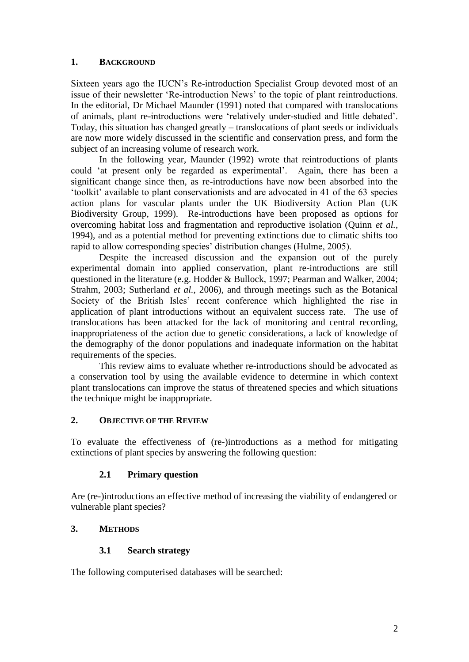#### **1. BACKGROUND**

Sixteen years ago the IUCN"s Re-introduction Specialist Group devoted most of an issue of their newsletter "Re-introduction News" to the topic of plant reintroductions. In the editorial, Dr Michael Maunder (1991) noted that compared with translocations of animals, plant re-introductions were "relatively under-studied and little debated". Today, this situation has changed greatly – translocations of plant seeds or individuals are now more widely discussed in the scientific and conservation press, and form the subject of an increasing volume of research work.

In the following year, Maunder (1992) wrote that reintroductions of plants could 'at present only be regarded as experimental'. Again, there has been a significant change since then, as re-introductions have now been absorbed into the "toolkit" available to plant conservationists and are advocated in 41 of the 63 species action plans for vascular plants under the UK Biodiversity Action Plan (UK Biodiversity Group, 1999). Re-introductions have been proposed as options for overcoming habitat loss and fragmentation and reproductive isolation (Quinn *et al.*, 1994), and as a potential method for preventing extinctions due to climatic shifts too rapid to allow corresponding species' distribution changes (Hulme, 2005).

Despite the increased discussion and the expansion out of the purely experimental domain into applied conservation, plant re-introductions are still questioned in the literature (e.g. Hodder & Bullock, 1997; Pearman and Walker, 2004; Strahm, 2003; Sutherland *et al.*, 2006), and through meetings such as the Botanical Society of the British Isles' recent conference which highlighted the rise in application of plant introductions without an equivalent success rate. The use of translocations has been attacked for the lack of monitoring and central recording, inappropriateness of the action due to genetic considerations, a lack of knowledge of the demography of the donor populations and inadequate information on the habitat requirements of the species.

This review aims to evaluate whether re-introductions should be advocated as a conservation tool by using the available evidence to determine in which context plant translocations can improve the status of threatened species and which situations the technique might be inappropriate.

#### **2. OBJECTIVE OF THE REVIEW**

To evaluate the effectiveness of (re-)introductions as a method for mitigating extinctions of plant species by answering the following question:

#### **2.1 Primary question**

Are (re-)introductions an effective method of increasing the viability of endangered or vulnerable plant species?

#### **3. METHODS**

#### **3.1 Search strategy**

The following computerised databases will be searched: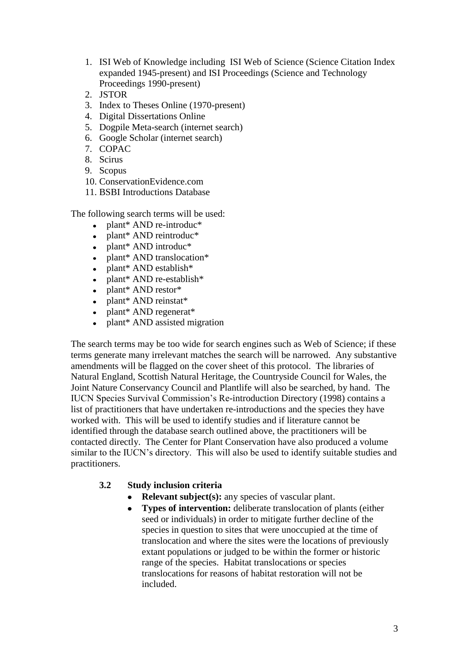- 1. ISI Web of Knowledge including ISI Web of Science (Science Citation Index expanded 1945-present) and ISI Proceedings (Science and Technology Proceedings 1990-present)
- 2. JSTOR
- 3. Index to Theses Online (1970-present)
- 4. Digital Dissertations Online
- 5. Dogpile Meta-search (internet search)
- 6. Google Scholar (internet search)
- 7. COPAC
- 8. Scirus
- 9. Scopus
- 10. ConservationEvidence.com
- 11. BSBI Introductions Database

The following search terms will be used:

- plant\* AND re-introduc\*  $\bullet$
- plant\* AND reintroduc\*
- plant\* AND introduc\*
- plant\* AND translocation\*
- plant\* AND establish\*
- plant\* AND re-establish\*
- plant\* AND restor\*
- plant\* AND reinstat\*
- plant\* AND regenerat\*
- plant\* AND assisted migration

The search terms may be too wide for search engines such as Web of Science; if these terms generate many irrelevant matches the search will be narrowed. Any substantive amendments will be flagged on the cover sheet of this protocol. The libraries of Natural England, Scottish Natural Heritage, the Countryside Council for Wales, the Joint Nature Conservancy Council and Plantlife will also be searched, by hand. The IUCN Species Survival Commission"s Re-introduction Directory (1998) contains a list of practitioners that have undertaken re-introductions and the species they have worked with. This will be used to identify studies and if literature cannot be identified through the database search outlined above, the practitioners will be contacted directly. The Center for Plant Conservation have also produced a volume similar to the IUCN's directory. This will also be used to identify suitable studies and practitioners.

#### **3.2 Study inclusion criteria**

- **Relevant subject(s):** any species of vascular plant.
- **Types of intervention:** deliberate translocation of plants (either  $\bullet$ seed or individuals) in order to mitigate further decline of the species in question to sites that were unoccupied at the time of translocation and where the sites were the locations of previously extant populations or judged to be within the former or historic range of the species. Habitat translocations or species translocations for reasons of habitat restoration will not be included.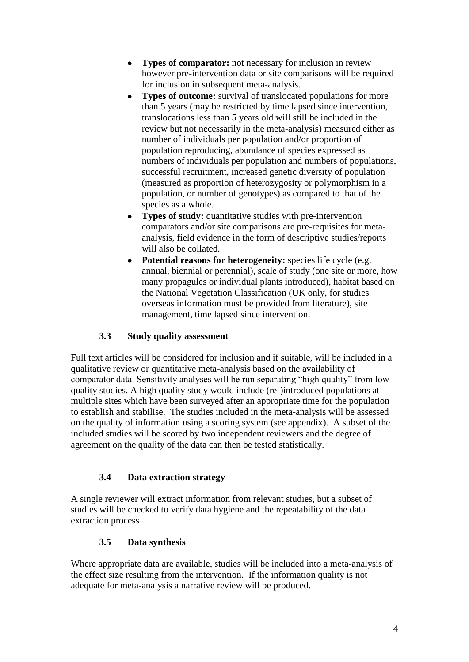- **Types of comparator:** not necessary for inclusion in review  $\bullet$ however pre-intervention data or site comparisons will be required for inclusion in subsequent meta-analysis.
- **Types of outcome:** survival of translocated populations for more than 5 years (may be restricted by time lapsed since intervention, translocations less than 5 years old will still be included in the review but not necessarily in the meta-analysis) measured either as number of individuals per population and/or proportion of population reproducing, abundance of species expressed as numbers of individuals per population and numbers of populations, successful recruitment, increased genetic diversity of population (measured as proportion of heterozygosity or polymorphism in a population, or number of genotypes) as compared to that of the species as a whole.
- **Types of study:** quantitative studies with pre-intervention  $\bullet$ comparators and/or site comparisons are pre-requisites for metaanalysis, field evidence in the form of descriptive studies/reports will also be collated.
- **Potential reasons for heterogeneity:** species life cycle (e.g.  $\bullet$ annual, biennial or perennial), scale of study (one site or more, how many propagules or individual plants introduced), habitat based on the National Vegetation Classification (UK only, for studies overseas information must be provided from literature), site management, time lapsed since intervention.

### **3.3 Study quality assessment**

Full text articles will be considered for inclusion and if suitable, will be included in a qualitative review or quantitative meta-analysis based on the availability of comparator data. Sensitivity analyses will be run separating "high quality" from low quality studies. A high quality study would include (re-)introduced populations at multiple sites which have been surveyed after an appropriate time for the population to establish and stabilise. The studies included in the meta-analysis will be assessed on the quality of information using a scoring system (see appendix). A subset of the included studies will be scored by two independent reviewers and the degree of agreement on the quality of the data can then be tested statistically.

#### **3.4 Data extraction strategy**

A single reviewer will extract information from relevant studies, but a subset of studies will be checked to verify data hygiene and the repeatability of the data extraction process

#### **3.5 Data synthesis**

Where appropriate data are available, studies will be included into a meta-analysis of the effect size resulting from the intervention. If the information quality is not adequate for meta-analysis a narrative review will be produced.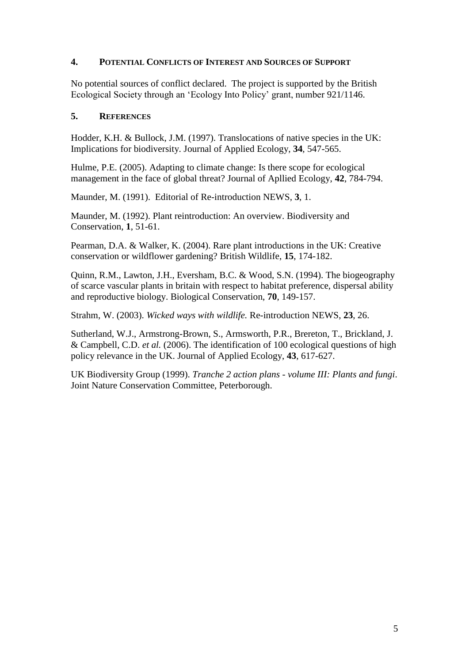#### **4. POTENTIAL CONFLICTS OF INTEREST AND SOURCES OF SUPPORT**

No potential sources of conflict declared. The project is supported by the British Ecological Society through an "Ecology Into Policy" grant, number 921/1146.

#### **5. REFERENCES**

Hodder, K.H. & Bullock, J.M. (1997). Translocations of native species in the UK: Implications for biodiversity. Journal of Applied Ecology, **34**, 547-565.

Hulme, P.E. (2005). Adapting to climate change: Is there scope for ecological management in the face of global threat? Journal of Apllied Ecology, **42**, 784-794.

Maunder, M. (1991). Editorial of Re-introduction NEWS, **3**, 1.

Maunder, M. (1992). Plant reintroduction: An overview. Biodiversity and Conservation, **1**, 51-61.

Pearman, D.A. & Walker, K. (2004). Rare plant introductions in the UK: Creative conservation or wildflower gardening? British Wildlife, **15**, 174-182.

Quinn, R.M., Lawton, J.H., Eversham, B.C. & Wood, S.N. (1994). The biogeography of scarce vascular plants in britain with respect to habitat preference, dispersal ability and reproductive biology. Biological Conservation, **70**, 149-157.

Strahm, W. (2003). *Wicked ways with wildlife.* Re-introduction NEWS, **23**, 26.

Sutherland, W.J., Armstrong-Brown, S., Armsworth, P.R., Brereton, T., Brickland, J. & Campbell, C.D. *et al.* (2006). The identification of 100 ecological questions of high policy relevance in the UK. Journal of Applied Ecology, **43**, 617-627.

UK Biodiversity Group (1999). *Tranche 2 action plans - volume III: Plants and fungi*. Joint Nature Conservation Committee, Peterborough.